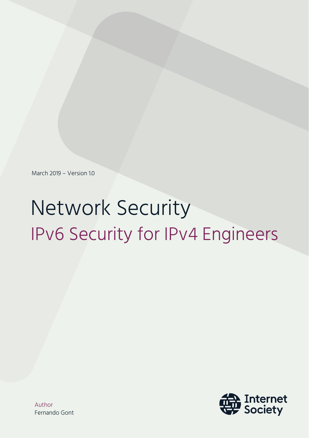March 2019 – Version 1.0

# Network Security IPv6 Security for IPv4 Engineers

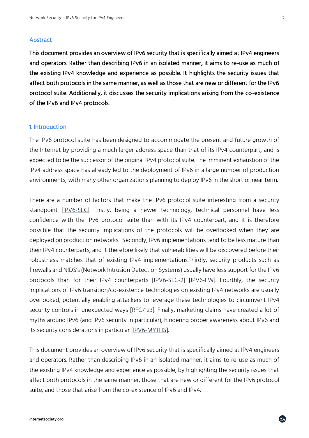#### Abstract

This document provides an overview of IPv6 security that is specifically aimed at IPv4 engineers and operators. Rather than describing IPv6 in an isolated manner, it aims to re-use as much of the existing IPv4 knowledge and experience as possible. It highlights the security issues that affect both protocols in the same manner, as well as those that are new or different for the IPv6 protocol suite. Additionally, it discusses the security implications arising from the co-existence of the IPv6 and IPv4 protocols.

#### 1. Introduction

The IPv6 protocol suite has been designed to accommodate the present and future growth of the Internet by providing a much larger address space than that of its IPv4 counterpart, and is expected to be the successor of the original IPv4 protocol suite. The imminent exhaustion of the IPv4 address space has already led to the deployment of IPv6 in a large number of production environments, with many other organizations planning to deploy IPv6 in the short or near term.

There are a number of factors that make the IPv6 protocol suite interesting from a security standpoint [\[IPV6-SEC\]](https://searchsecurity.techtarget.com/feature/Address-IPv6-security-before-your-time-runs-out). Firstly, being a newer technology, technical personnel have less confidence with the IPv6 protocol suite than with its IPv4 counterpart, and it is therefore possible that the security implications of the protocols will be overlooked when they are deployed on production networks. Secondly, IPv6 implementations tend to be less mature than their IPv4 counterparts, and it therefore likely that vulnerabilities will be discovered before their robustness matches that of existing IPv4 implementations.Thirdly, security products such as firewalls and NIDS's (Network Intrusion Detection Systems) usually have less support for the IPv6 protocols than for their IPv4 counterparts [\[IPV6-SEC-2\]](https://searchtelecom.techtarget.com/tip/IPv6-security-issues-Fixing-implementation-problems) [\[IPV6-FW\]](http://www.ipv6hackers.org/meetings/ipv6-hackers-1). Fourthly, the security implications of IPv6 transition/co-existence technologies on existing IPv4 networks are usually overlooked, potentially enabling attackers to leverage these technologies to circumvent IPv4 security controls in unexpected ways [\[RFC7123\]](https://www.rfc-editor.org/info/rfc7123). Finally, marketing claims have created a lot of myths around IPv6 (and IPv6 security in particular), hindering proper awareness about IPv6 and its security considerations in particular [\[IPV6-MYTHS\]](https://searchsecurity.techtarget.com/tip/IPv6-myths-Debunking-misconceptions-regarding-IPv6-security-features).

This document provides an overview of IPv6 security that is specifically aimed at IPv4 engineers and operators. Rather than describing IPv6 in an isolated manner, it aims to re-use as much of the existing IPv4 knowledge and experience as possible, by highlighting the security issues that affect both protocols in the same manner, those that are new or different for the IPv6 protocol suite, and those that arise from the co-existence of IPv6 and IPv4.

龠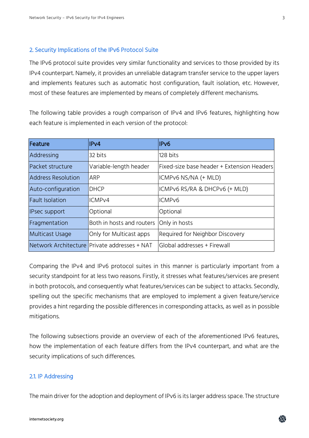#### 2. Security Implications of the IPv6 Protocol Suite

The IPv6 protocol suite provides very similar functionality and services to those provided by its IPv4 counterpart. Namely, it provides an unreliable datagram transfer service to the upper layers and implements features such as automatic host configuration, fault isolation, etc. However, most of these features are implemented by means of completely different mechanisms.

The following table provides a rough comparison of IPv4 and IPv6 features, highlighting how each feature is implemented in each version of the protocol:

| Feature                   | IPv4                                         | IP <sub>v6</sub>                           |
|---------------------------|----------------------------------------------|--------------------------------------------|
| Addressing                | 32 bits                                      | 128 bits                                   |
| Packet structure          | Variable-length header                       | Fixed-size base header + Extension Headers |
| <b>Address Resolution</b> | ARP                                          | ICMPv6 NS/NA (+ MLD)                       |
| Auto-configuration        | <b>IDHCP</b>                                 | ICMPv6 RS/RA & DHCPv6 (+ MLD)              |
| <b>Fault Isolation</b>    | ICMPv4                                       | ICMP <sub>v6</sub>                         |
| IPsec support             | Optional                                     | Optional                                   |
| Fragmentation             | Both in hosts and routers                    | Only in hosts                              |
| Multicast Usage           | Only for Multicast apps                      | Required for Neighbor Discovery            |
|                           | Network Architecture Private addresses + NAT | lGlobal addresses + Firewall               |

Comparing the IPv4 and IPv6 protocol suites in this manner is particularly important from a security standpoint for at less two reasons. Firstly, it stresses what features/services are present in both protocols, and consequently what features/services can be subject to attacks. Secondly, spelling out the specific mechanisms that are employed to implement a given feature/service provides a hint regarding the possible differences in corresponding attacks, as well as in possible mitigations.

The following subsections provide an overview of each of the aforementioned IPv6 features, how the implementation of each feature differs from the IPv4 counterpart, and what are the security implications of such differences.

#### 2.1. IP Addressing

The main driver for the adoption and deployment of IPv6 is its larger address space. The structure

蟲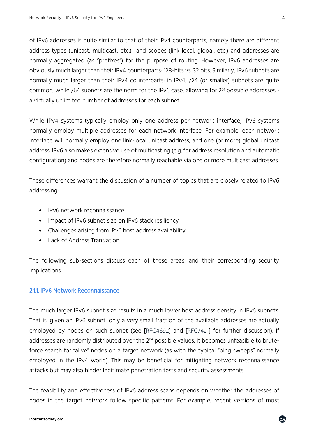of IPv6 addresses is quite similar to that of their IPv4 counterparts, namely there are different address types (unicast, multicast, etc.) and scopes (link-local, global, etc.) and addresses are normally aggregated (as "prefixes") for the purpose of routing. However, IPv6 addresses are obviously much larger than their IPv4 counterparts: 128-bits vs. 32 bits. Similarly, IPv6 subnets are normally much larger than their IPv4 counterparts: in IPv4, /24 (or smaller) subnets are quite common, while /64 subnets are the norm for the IPv6 case, allowing for 2<sup>64</sup> possible addresses a virtually unlimited number of addresses for each subnet.

While IPv4 systems typically employ only one address per network interface, IPv6 systems normally employ multiple addresses for each network interface. For example, each network interface will normally employ one link-local unicast address, and one (or more) global unicast address. IPv6 also makes extensive use of multicasting (e.g. for address resolution and automatic configuration) and nodes are therefore normally reachable via one or more multicast addresses.

These differences warrant the discussion of a number of topics that are closely related to IPv6 addressing:

- IPv6 network reconnaissance
- Impact of IPv6 subnet size on IPv6 stack resiliency
- Challenges arising from IPv6 host address availability
- Lack of Address Translation

The following sub-sections discuss each of these areas, and their corresponding security implications.

# 2.1.1. IPv6 Network Reconnaissance

The much larger IPv6 subnet size results in a much lower host address density in IPv6 subnets. That is, given an IPv6 subnet, only a very small fraction of the available addresses are actually employed by nodes on such subnet (see [\[RFC4692\]](https://www.rfc-editor.org/info/rfc4692) and [\[RFC7421\]](https://www.rfc-editor.org/info/rfc7421) for further discussion). If addresses are randomly distributed over the 2<sup>64</sup> possible values, it becomes unfeasible to bruteforce search for "alive" nodes on a target network (as with the typical "ping sweeps" normally employed in the IPv4 world). This may be beneficial for mitigating network reconnaissance attacks but may also hinder legitimate penetration tests and security assessments.

The feasibility and effectiveness of IPv6 address scans depends on whether the addresses of nodes in the target network follow specific patterns. For example, recent versions of most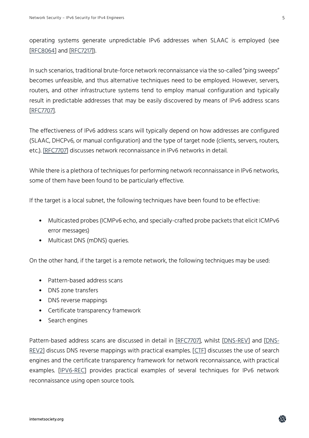operating systems generate unpredictable IPv6 addresses when SLAAC is employed (see [\[RFC8064\]](https://www.rfc-editor.org/info/rfc8064) and [\[RFC7217\]](https://www.rfc-editor.org/info/rfc7217)).

In such scenarios, traditional brute-force network reconnaissance via the so-called "ping sweeps" becomes unfeasible, and thus alternative techniques need to be employed. However, servers, routers, and other infrastructure systems tend to employ manual configuration and typically result in predictable addresses that may be easily discovered by means of IPv6 address scans [\[RFC7707\]](https://www.rfc-editor.org/info/rfc7707).

The effectiveness of IPv6 address scans will typically depend on how addresses are configured (SLAAC, DHCPv6, or manual configuration) and the type of target node (clients, servers, routers, etc.). [\[RFC7707\]](https://www.rfc-editor.org/info/rfc7707) discusses network reconnaissance in IPv6 networks in detail.

While there is a plethora of techniques for performing network reconnaissance in IPv6 networks, some of them have been found to be particularly effective.

If the target is a local subnet, the following techniques have been found to be effective:

- Multicasted probes (ICMPv6 echo, and specially-crafted probe packets that elicit ICMPv6 error messages)
- Multicast DNS (mDNS) queries.

On the other hand, if the target is a remote network, the following techniques may be used:

- Pattern-based address scans
- DNS zone transfers
- DNS reverse mappings
- Certificate transparency framework
- Search engines

Pattern-based address scans are discussed in detail in [\[RFC7707\]](https://www.rfc-editor.org/info/rfc7707), whilst [\[DNS-REV\]](https://searchsecurity.techtarget.com/tip/How-to-use-DNS-reverse-mapping-to-scan-IPv6-addresses) and [\[DNS-](https://searchsecurity.techtarget.com/tip/DNS-reverse-address-mapping-Exploiting-the-scanning-technique)[REV2\]](https://searchsecurity.techtarget.com/tip/DNS-reverse-address-mapping-Exploiting-the-scanning-technique) discuss DNS reverse mappings with practical examples. [\[CTF\]](https://searchsecurity.techtarget.com/tip/Network-reconnaissance-How-to-use-SI6-Networks-IPv6-toolkit) discusses the use of search engines and the certificate transparency framework for network reconnaissance, with practical examples. [\[IPV6-REC\]](https://searchsecurity.techtarget.com/tip/How-to-perform-IPv6-network-reconnaissance) provides practical examples of several techniques for IPv6 network reconnaissance using open source tools.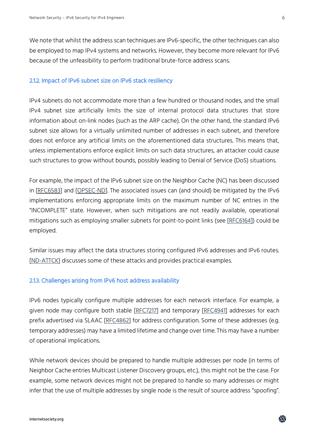We note that whilst the address scan techniques are IPv6-specific, the other techniques can also be employed to map IPv4 systems and networks. However, they become more relevant for IPv6 because of the unfeasibility to perform traditional brute-force address scans.

## 2.1.2. Impact of IPv6 subnet size on IPv6 stack resiliency

IPv4 subnets do not accommodate more than a few hundred or thousand nodes, and the small IPv4 subnet size artificially limits the size of internal protocol data structures that store information about on-link nodes (such as the ARP cache). On the other hand, the standard IPv6 subnet size allows for a virtually unlimited number of addresses in each subnet, and therefore does not enforce any artificial limits on the aforementioned data structures. This means that, unless implementations enforce explicit limits on such data structures, an attacker could cause such structures to grow without bounds, possibly leading to Denial of Service (DoS) situations.

For example, the impact of the IPv6 subnet size on the Neighbor Cache (NC) has been discussed in [\[RFC6583\]](https://www.rfc-editor.org/info/rfc6583) and [\[OPSEC-ND\]](https://tools.ietf.org/html/draft-ietf-opsec-ipv6-nd-security). The associated issues can (and should) be mitigated by the IPv6 implementations enforcing appropriate limits on the maximum number of NC entries in the "INCOMPLETE" state. However, when such mitigations are not readily available, operational mitigations such as employing smaller subnets for point-to-point links (see [\[RFC6164\]](http://www.rfc-editor.org/info/rfc6164)) could be employed.

Similar issues may affect the data structures storing configured IPv6 addresses and IPv6 routes. [\[ND-ATTCK\]](https://searchnetworking.techtarget.com/tip/How-to-protect-your-IPv6-address-management) discusses some of these attacks and provides practical examples.

## 2.1.3. Challenges arising from IPv6 host address availability

IPv6 nodes typically configure multiple addresses for each network interface. For example, a given node may configure both stable [\[RFC7217\]](http://www.rfc-editor.org/info/rfc7217) and temporary [\[RFC4941\]](http://www.rfc-editor.org/info/rfc4941) addresses for each prefix advertised via SLAAC [\[RFC4862\]](http://www.rfc-editor.org/info/rfc4862) for address configuration. Some of these addresses (e.g. temporary addresses) may have a limited lifetime and change over time. This may have a number of operational implications.

While network devices should be prepared to handle multiple addresses per node (in terms of Neighbor Cache entries Multicast Listener Discovery groups, etc.), this might not be the case. For example, some network devices might not be prepared to handle so many addresses or might infer that the use of multiple addresses by single node is the result of source address "spoofing".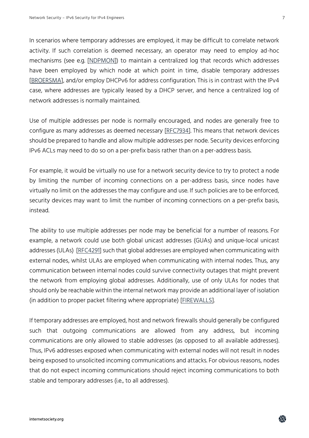In scenarios where temporary addresses are employed, it may be difficult to correlate network activity. If such correlation is deemed necessary, an operator may need to employ ad-hoc mechanisms (see e.g. [\[NDPMON\]](https://hal.inria.fr/inria-00153558/document)) to maintain a centralized log that records which addresses have been employed by which node at which point in time, disable temporary addresses [\[BROERSMA\]](http://www.ipv6.org.au/10ipv6summit/talks/Ron_Broersma.pdf), and/or employ DHCPv6 for address configuration. This is in contrast with the IPv4 case, where addresses are typically leased by a DHCP server, and hence a centralized log of network addresses is normally maintained.

Use of multiple addresses per node is normally encouraged, and nodes are generally free to configure as many addresses as deemed necessary [\[RFC7934\]](http://www.rfc-editor.org/info/rfc7934). This means that network devices should be prepared to handle and allow multiple addresses per node. Security devices enforcing IPv6 ACLs may need to do so on a per-prefix basis rather than on a per-address basis.

For example, it would be virtually no use for a network security device to try to protect a node by limiting the number of incoming connections on a per-address basis, since nodes have virtually no limit on the addresses the may configure and use. If such policies are to be enforced, security devices may want to limit the number of incoming connections on a per-prefix basis, instead.

The ability to use multiple addresses per node may be beneficial for a number of reasons. For example, a network could use both global unicast addresses (GUAs) and unique-local unicast addresses (ULAs) [\[RFC4291\]](http://www.rfc-editor.org/info/rfc4291) such that global addresses are employed when communicating with external nodes, whilst ULAs are employed when communicating with internal nodes. Thus, any communication between internal nodes could survive connectivity outages that might prevent the network from employing global addresses. Additionally, use of only ULAs for nodes that should only be reachable within the internal network may provide an additional layer of isolation (in addition to proper packet filtering where appropriate) [\[FIREWALLS\]](https://tools.ietf.org/html/draft-gont-opsawg-firewalls-analysis).

If temporary addresses are employed, host and network firewalls should generally be configured such that outgoing communications are allowed from any address, but incoming communications are only allowed to stable addresses (as opposed to all available addresses). Thus, IPv6 addresses exposed when communicating with external nodes will not result in nodes being exposed to unsolicited incoming communications and attacks. For obvious reasons, nodes that do not expect incoming communications should reject incoming communications to both stable and temporary addresses (i.e., to all addresses).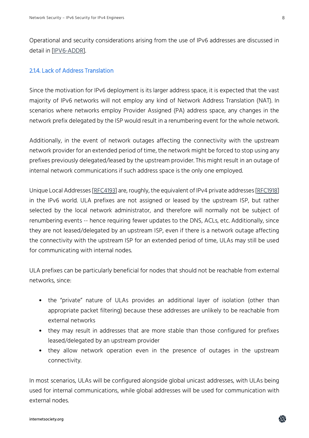Operational and security considerations arising from the use of IPv6 addresses are discussed in detail in [\[IPV6-ADDR\]](https://tools.ietf.org/html/draft-gont-6man-address-usage-recommendations).

## 2.1.4. Lack of Address Translation

Since the motivation for IPv6 deployment is its larger address space, it is expected that the vast majority of IPv6 networks will not employ any kind of Network Address Translation (NAT). In scenarios where networks employ Provider Assigned (PA) address space, any changes in the network prefix delegated by the ISP would result in a renumbering event for the whole network.

Additionally, in the event of network outages affecting the connectivity with the upstream network provider for an extended period of time, the network might be forced to stop using any prefixes previously delegated/leased by the upstream provider. This might result in an outage of internal network communications if such address space is the only one employed.

Unique Local Addresses [\[RFC4193\]](http://www.rfc-editor.org/info/rfc4193) are, roughly, the equivalent of IPv4 private addresses [\[RFC1918\]](http://www.rfc-editor.org/info/rfc1918) in the IPv6 world. ULA prefixes are not assigned or leased by the upstream ISP, but rather selected by the local network administrator, and therefore will normally not be subject of renumbering events -- hence requiring fewer updates to the DNS, ACLs, etc. Additionally, since they are not leased/delegated by an upstream ISP, even if there is a network outage affecting the connectivity with the upstream ISP for an extended period of time, ULAs may still be used for communicating with internal nodes.

ULA prefixes can be particularly beneficial for nodes that should not be reachable from external networks, since:

- the "private" nature of ULAs provides an additional layer of isolation (other than appropriate packet filtering) because these addresses are unlikely to be reachable from external networks
- they may result in addresses that are more stable than those configured for prefixes leased/delegated by an upstream provider
- they allow network operation even in the presence of outages in the upstream connectivity.

In most scenarios, ULAs will be configured alongside global unicast addresses, with ULAs being used for internal communications, while global addresses will be used for communication with external nodes.

龠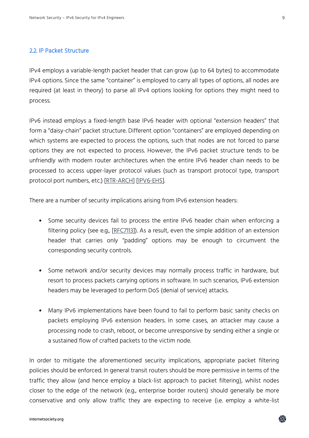#### 2.2. IP Packet Structure

IPv4 employs a variable-length packet header that can grow (up to 64 bytes) to accommodate IPv4 options. Since the same "container" is employed to carry all types of options, all nodes are required (at least in theory) to parse all IPv4 options looking for options they might need to process.

IPv6 instead employs a fixed-length base IPv6 header with optional "extension headers" that form a "daisy-chain" packet structure. Different option "containers" are employed depending on which systems are expected to process the options, such that nodes are not forced to parse options they are not expected to process. However, the IPv6 packet structure tends to be unfriendly with modern router architectures when the entire IPv6 header chain needs to be processed to access upper-layer protocol values (such as transport protocol type, transport protocol port numbers, etc.) [\[RTR-ARCH\]](http://www.iepg.org/2015-11-01-ietf94/IEPG-RouterArchitecture-jgs.pdf) [\[IPV6-EHS\]](https://tools.ietf.org/html/draft-gont-v6ops-ipv6-ehs-packet-drops).

There are a number of security implications arising from IPv6 extension headers:

- Some security devices fail to process the entire IPv6 header chain when enforcing a filtering policy (see e.g., [\[RFC7113\]](https://www.rfc-editor.org/info/rfc7113)). As a result, even the simple addition of an extension header that carries only "padding" options may be enough to circumvent the corresponding security controls.
- Some network and/or security devices may normally process traffic in hardware, but resort to process packets carrying options in software. In such scenarios, IPv6 extension headers may be leveraged to perform DoS (denial of service) attacks.
- Many IPv6 implementations have been found to fail to perform basic sanity checks on packets employing IPv6 extension headers. In some cases, an attacker may cause a processing node to crash, reboot, or become unresponsive by sending either a single or a sustained flow of crafted packets to the victim node.

In order to mitigate the aforementioned security implications, appropriate packet filtering policies should be enforced. In general transit routers should be more permissive in terms of the traffic they allow (and hence employ a black-list approach to packet filtering), whilst nodes closer to the edge of the network (e.g., enterprise border routers) should generally be more conservative and only allow traffic they are expecting to receive (i.e. employ a white-list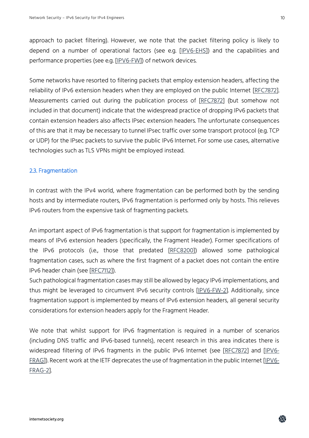approach to packet filtering). However, we note that the packet filtering policy is likely to depend on a number of operational factors (see e.g. [\[IPV6-EHS\]](https://tools.ietf.org/html/draft-gont-v6ops-ipv6-ehs-packet-drops)) and the capabilities and performance properties (see e.g. [\[IPV6-FW\]](http://www.ipv6hackers.org/meetings/ipv6-hackers-1)) of network devices.

Some networks have resorted to filtering packets that employ extension headers, affecting the reliability of IPv6 extension headers when they are employed on the public Internet [\[RFC7872\]](https://www.rfc-editor.org/info/rfc7872). Measurements carried out during the publication process of [\[RFC7872\]](https://www.rfc-editor.org/info/rfc7872) (but somehow not included in that document) indicate that the widespread practice of dropping IPv6 packets that contain extension headers also affects IPsec extension headers. The unfortunate consequences of this are that it may be necessary to tunnel IPsec traffic over some transport protocol (e.g. TCP or UDP) for the IPsec packets to survive the public IPv6 Internet. For some use cases, alternative technologies such as TLS VPNs might be employed instead.

## 2.3. Fragmentation

In contrast with the IPv4 world, where fragmentation can be performed both by the sending hosts and by intermediate routers, IPv6 fragmentation is performed only by hosts. This relieves IPv6 routers from the expensive task of fragmenting packets.

An important aspect of IPv6 fragmentation is that support for fragmentation is implemented by means of IPv6 extension headers (specifically, the Fragment Header). Former specifications of the IPv6 protocols (i.e., those that predated [\[RFC8200\]](https://www.rfc-editor.org/info/rfc8200)) allowed some pathological fragmentation cases, such as where the first fragment of a packet does not contain the entire IPv6 header chain (see [\[RFC7112\]](https://www.rfc-editor.org/info/rfc7112)).

Such pathological fragmentation cases may still be allowed by legacy IPv6 implementations, and thus might be leveraged to circumvent IPv6 security controls [\[IPV6-FW-2\]](https://searchenterprisewan.techtarget.com/tip/IPv6-firewall-security-Fixing-issues-introduced-by-the-new-protocol). Additionally, since fragmentation support is implemented by means of IPv6 extension headers, all general security considerations for extension headers apply for the Fragment Header.

We note that whilst support for IPv6 fragmentation is required in a number of scenarios (including DNS traffic and IPv6-based tunnels), recent research in this area indicates there is widespread filtering of IPv6 fragments in the public IPv6 Internet (see [\[RFC7872\]](https://www.rfc-editor.org/info/rfc7872) and [\[IPV6-](https://labs.apnic.net/presentations/store/2017-10-25-xtn-hdrs-dns.pdf) [FRAG\]](https://labs.apnic.net/presentations/store/2017-10-25-xtn-hdrs-dns.pdf)). Recent work at the IETF deprecates the use of fragmentation in the public Internet [\[IPV6-](https://tools.ietf.org/html/draft-ietf-intarea-frag-fragile) [FRAG-2\]](https://tools.ietf.org/html/draft-ietf-intarea-frag-fragile).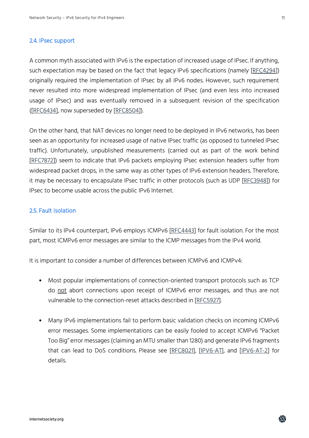#### 2.4. IPsec support

A common myth associated with IPv6 is the expectation of increased usage of IPsec. If anything, such expectation may be based on the fact that legacy IPv6 specifications (namely [\[RFC4294\]](https://www.rfc-editor.org/info/rfc4294)) originally required the implementation of IPsec by all IPv6 nodes. However, such requirement never resulted into more widespread implementation of IPsec (and even less into increased usage of IPsec) and was eventually removed in a subsequent revision of the specification ([\[RFC6434\]](https://www.rfc-editor.org/info/rfc6434), now superseded by [\[RFC8504\]](https://www.rfc-editor.org/info/rfc8504)).

On the other hand, that NAT devices no longer need to be deployed in IPv6 networks, has been seen as an opportunity for increased usage of native IPsec traffic (as opposed to tunneled IPsec traffic). Unfortunately, unpublished measurements (carried out as part of the work behind [\[RFC7872\]](https://www.rfc-editor.org/info/rfc7872)) seem to indicate that IPv6 packets employing IPsec extension headers suffer from widespread packet drops, in the same way as other types of IPv6 extension headers. Therefore, it may be necessary to encapsulate IPsec traffic in other protocols (such as UDP [\[RFC3948\]](https://www.rfc-editor.org/info/rfc3948)) for IPsec to become usable across the public IPv6 Internet.

## 2.5. Fault Isolation

Similar to its IPv4 counterpart, IPv6 employs ICMPv6 [\[RFC4443\]](https://www.rfc-editor.org/info/rfc4443) for fault isolation. For the most part, most ICMPv6 error messages are similar to the ICMP messages from the IPv4 world.

It is important to consider a number of differences between ICMPv6 and ICMPv4:

- Most popular implementations of connection-oriented transport protocols such as TCP do not abort connections upon receipt of ICMPv6 error messages, and thus are not vulnerable to the connection-reset attacks described in [\[RFC5927\]](https://www.rfc-editor.org/info/rfc5927).
- Many IPv6 implementations fail to perform basic validation checks on incoming ICMPv6 error messages. Some implementations can be easily fooled to accept ICMPv6 "Packet Too Big" error messages (claiming an MTU smaller than 1280) and generate IPv6 fragments that can lead to DoS conditions. Please see [\[RFC8021\]](https://tools.ietf.org/html/rfc8021), [\[IPV6-AT\]](https://searchsecurity.techtarget.com/tip/How-a-single-ICMPv6-packet-can-cause-a-denial-of-service-attack), and [\[IPV6-AT-2\]](https://searchsecurity.techtarget.com/tip/Using-IPv6-atomic-fragments-for-a-denial-of-service-attack) for details.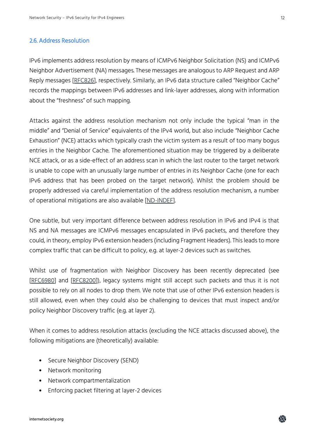#### 2.6. Address Resolution

IPv6 implements address resolution by means of ICMPv6 Neighbor Solicitation (NS) and ICMPv6 Neighbor Advertisement (NA) messages. These messages are analogous to ARP Request and ARP Reply messages [\[RFC826\]](https://www.rfc-editor.org/info/rfc826), respectively. Similarly, an IPv6 data structure called "Neighbor Cache" records the mappings between IPv6 addresses and link-layer addresses, along with information about the "freshness" of such mapping.

Attacks against the address resolution mechanism not only include the typical "man in the middle" and "Denial of Service" equivalents of the IPv4 world, but also include "Neighbor Cache Exhaustion" (NCE) attacks which typically crash the victim system as a result of too many bogus entries in the Neighbor Cache. The aforementioned situation may be triggered by a deliberate NCE attack, or as a side-effect of an address scan in which the last router to the target network is unable to cope with an unusually large number of entries in its Neighbor Cache (one for each IPv6 address that has been probed on the target network). Whilst the problem should be properly addressed via careful implementation of the address resolution mechanism, a number of operational mitigations are also available [\[ND-INDEF\]](http://www.iepg.org/2018-07-15-ietf102/indefensible-neighbors.pdf).

One subtle, but very important difference between address resolution in IPv6 and IPv4 is that NS and NA messages are ICMPv6 messages encapsulated in IPv6 packets, and therefore they could, in theory, employ IPv6 extension headers (including Fragment Headers). This leads to more complex traffic that can be difficult to policy, e.g. at layer-2 devices such as switches.

Whilst use of fragmentation with Neighbor Discovery has been recently deprecated (see [\[RFC6980\]](https://www.rfc-editor.org/info/rfc6980) and [\[RFC8200\]](https://www.rfc-editor.org/info/rfc8200)), legacy systems might still accept such packets and thus it is not possible to rely on all nodes to drop them. We note that use of other IPv6 extension headers is still allowed, even when they could also be challenging to devices that must inspect and/or policy Neighbor Discovery traffic (e.g. at layer 2).

When it comes to address resolution attacks (excluding the NCE attacks discussed above), the following mitigations are (theoretically) available:

- Secure Neighbor Discovery (SEND)
- Network monitoring
- Network compartmentalization
- Enforcing packet filtering at layer-2 devices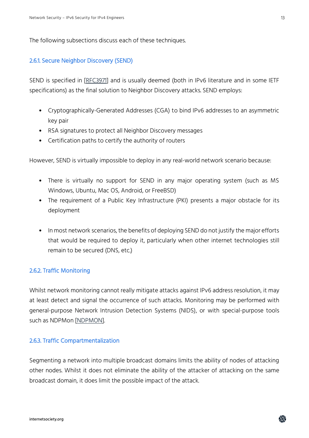The following subsections discuss each of these techniques.

## 2.6.1. Secure Neighbor Discovery (SEND)

SEND is specified in [\[RFC3971\]](https://www.rfc-editor.org/info/rfc3971) and is usually deemed (both in IPv6 literature and in some IETF specifications) as the final solution to Neighbor Discovery attacks. SEND employs:

- Cryptographically-Generated Addresses (CGA) to bind IPv6 addresses to an asymmetric key pair
- RSA signatures to protect all Neighbor Discovery messages
- Certification paths to certify the authority of routers

However, SEND is virtually impossible to deploy in any real-world network scenario because:

- There is virtually no support for SEND in any major operating system (such as MS Windows, Ubuntu, Mac OS, Android, or FreeBSD)
- The requirement of a Public Key Infrastructure (PKI) presents a major obstacle for its deployment
- In most network scenarios, the benefits of deploying SEND do not justify the major efforts that would be required to deploy it, particularly when other internet technologies still remain to be secured (DNS, etc.)

## 2.6.2. Traffic Monitoring

Whilst network monitoring cannot really mitigate attacks against IPv6 address resolution, it may at least detect and signal the occurrence of such attacks. Monitoring may be performed with general-purpose Network Intrusion Detection Systems (NIDS), or with special-purpose tools such as NDPMon [\[NDPMON\]](https://hal.inria.fr/inria-00153558/document).

## 2.6.3. Traffic Compartmentalization

Segmenting a network into multiple broadcast domains limits the ability of nodes of attacking other nodes. Whilst it does not eliminate the ability of the attacker of attacking on the same broadcast domain, it does limit the possible impact of the attack.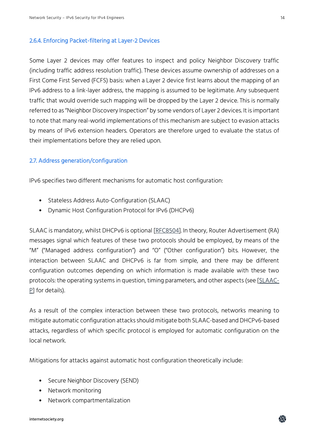#### 2.6.4. Enforcing Packet-filtering at Layer-2 Devices

Some Layer 2 devices may offer features to inspect and policy Neighbor Discovery traffic (including traffic address resolution traffic). These devices assume ownership of addresses on a First Come First Served (FCFS) basis: when a Layer 2 device first learns about the mapping of an IPv6 address to a link-layer address, the mapping is assumed to be legitimate. Any subsequent traffic that would override such mapping will be dropped by the Layer 2 device. This is normally referred to as "Neighbor Discovery Inspection" by some vendors of Layer 2 devices. It is important to note that many real-world implementations of this mechanism are subject to evasion attacks by means of IPv6 extension headers. Operators are therefore urged to evaluate the status of their implementations before they are relied upon.

## 2.7. Address generation/configuration

IPv6 specifies two different mechanisms for automatic host configuration:

- Stateless Address Auto-Configuration (SLAAC)
- Dynamic Host Configuration Protocol for IPv6 (DHCPv6)

SLAAC is mandatory, whilst DHCPv6 is optional [\[RFC8504\]](https://www.rfc-editor.org/info/rfc8504). In theory, Router Advertisement (RA) messages signal which features of these two protocols should be employed, by means of the "M" ("Managed address configuration") and "O" ("Other configuration") bits. However, the interaction between SLAAC and DHCPv6 is far from simple, and there may be different configuration outcomes depending on which information is made available with these two protocols: the operating systems in question, timing parameters, and other aspects (see [\[SLAAC-](https://tools.ietf.org/html/draft-ietf-v6ops-dhcpv6-slaac-problem)[P\]](https://tools.ietf.org/html/draft-ietf-v6ops-dhcpv6-slaac-problem) for details).

As a result of the complex interaction between these two protocols, networks meaning to mitigate automatic configuration attacks should mitigate both SLAAC-based and DHCPv6-based attacks, regardless of which specific protocol is employed for automatic configuration on the local network.

Mitigations for attacks against automatic host configuration theoretically include:

- Secure Neighbor Discovery (SEND)
- Network monitoring
- Network compartmentalization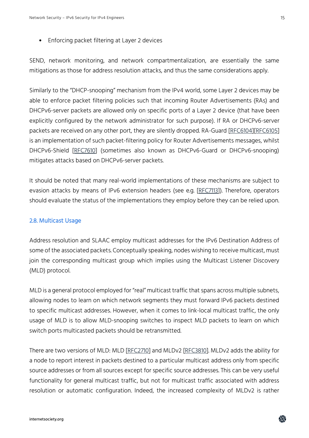## • Enforcing packet filtering at Layer 2 devices

SEND, network monitoring, and network compartmentalization, are essentially the same mitigations as those for address resolution attacks, and thus the same considerations apply.

Similarly to the "DHCP-snooping" mechanism from the IPv4 world, some Layer 2 devices may be able to enforce packet filtering policies such that incoming Router Advertisements (RAs) and DHCPv6-server packets are allowed only on specific ports of a Layer 2 device (that have been explicitly configured by the network administrator for such purpose). If RA or DHCPv6-server packets are received on any other port, they are silently dropped. RA-Guard [\[RFC6104\]](https://www.rfc-editor.org/info/rfc6104)[\[RFC6105\]](https://www.rfc-editor.org/info/rfc6105) is an implementation of such packet-filtering policy for Router Advertisements messages, whilst DHCPv6-Shield [\[RFC7610\]](https://www.rfc-editor.org/info/rfc7610) (sometimes also known as DHCPv6-Guard or DHCPv6-snooping) mitigates attacks based on DHCPv6-server packets.

It should be noted that many real-world implementations of these mechanisms are subject to evasion attacks by means of IPv6 extension headers (see e.g. [\[RFC7113\]](https://www.rfc-editor.org/info/rfc7113)). Therefore, operators should evaluate the status of the implementations they employ before they can be relied upon.

## 2.8. Multicast Usage

Address resolution and SLAAC employ multicast addresses for the IPv6 Destination Address of some of the associated packets. Conceptually speaking, nodes wishing to receive multicast, must join the corresponding multicast group which implies using the Multicast Listener Discovery (MLD) protocol.

MLD is a general protocol employed for "real" multicast traffic that spans across multiple subnets, allowing nodes to learn on which network segments they must forward IPv6 packets destined to specific multicast addresses. However, when it comes to link-local multicast traffic, the only usage of MLD is to allow MLD-snooping switches to inspect MLD packets to learn on which switch ports multicasted packets should be retransmitted.

There are two versions of MLD: MLD [\[RFC2710\]](https://www.rfc-editor.org/info/rfc2710) and MLDv2 [\[RFC3810\]](https://www.rfc-editor.org/info/rfc3810). MLDv2 adds the ability for a node to report interest in packets destined to a particular multicast address only from specific source addresses or from all sources except for specific source addresses. This can be very useful functionality for general multicast traffic, but not for multicast traffic associated with address resolution or automatic configuration. Indeed, the increased complexity of MLDv2 is rather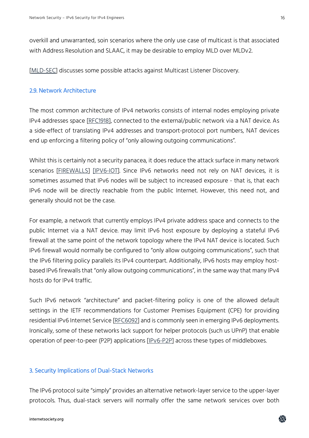overkill and unwarranted, soin scenarios where the only use case of multicast is that associated with Address Resolution and SLAAC, it may be desirable to employ MLD over MLDv2.

[\[MLD-SEC\]](https://www.troopers.de/media/filer_public/7c/35/7c35967a-d0d4-46fb-8a3b-4c16df37ce59/troopers15_ipv6secsummit_atlasis_rey_salazar_mld_considered_harmful_final.pdf) discusses some possible attacks against Multicast Listener Discovery.

## 2.9. Network Architecture

The most common architecture of IPv4 networks consists of internal nodes employing private IPv4 addresses space [\[RFC1918\]](https://www.rfc-editor.org/info/rfc1918), connected to the external/public network via a NAT device. As a side-effect of translating IPv4 addresses and transport-protocol port numbers, NAT devices end up enforcing a filtering policy of "only allowing outgoing communications".

Whilst this is certainly not a security panacea, it does reduce the attack surface in many network scenarios [\[FIREWALLS\]](https://tools.ietf.org/html/draft-gont-opsawg-firewalls-analysis) [\[IPV6-IOT\]](https://internetofthingsagenda.techtarget.com/feature/How-IPv6-deployment-affects-the-security-of-IoT-devices). Since IPv6 networks need not rely on NAT devices, it is sometimes assumed that IPv6 nodes will be subject to increased exposure - that is, that each IPv6 node will be directly reachable from the public Internet. However, this need not, and generally should not be the case.

For example, a network that currently employs IPv4 private address space and connects to the public Internet via a NAT device. may limit IPv6 host exposure by deploying a stateful IPv6 firewall at the same point of the network topology where the IPv4 NAT device is located. Such IPv6 firewall would normally be configured to "only allow outgoing communications", such that the IPv6 filtering policy parallels its IPv4 counterpart. Additionally, IPv6 hosts may employ hostbased IPv6 firewalls that "only allow outgoing communications", in the same way that many IPv4 hosts do for IPv4 traffic.

Such IPv6 network "architecture" and packet-filtering policy is one of the allowed default settings in the IETF recommendations for Customer Premises Equipment (CPE) for providing residential IPv6 Internet Service [\[RFC6092\]](https://www.rfc-editor.org/info/rfc6092) and is commonly seen in emerging IPv6 deployments. Ironically, some of these networks lack support for helper protocols (such us UPnP) that enable operation of peer-to-peer (P2P) applications [\[IPv6-P2P\]](https://searchnetworking.techtarget.com/tip/Ensuring-P2P-apps-dont-cause-network-performance-issues-with-IPv6) across these types of middleboxes.

## 3. Security Implications of Dual-Stack Networks

The IPv6 protocol suite "simply" provides an alternative network-layer service to the upper-layer protocols. Thus, dual-stack servers will normally offer the same network services over both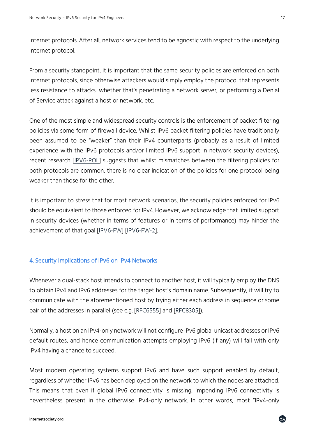Internet protocols. After all, network services tend to be agnostic with respect to the underlying Internet protocol.

From a security standpoint, it is important that the same security policies are enforced on both Internet protocols, since otherwise attackers would simply employ the protocol that represents less resistance to attacks: whether that's penetrating a network server, or performing a Denial of Service attack against a host or network, etc.

One of the most simple and widespread security controls is the enforcement of packet filtering policies via some form of firewall device. Whilst IPv6 packet filtering policies have traditionally been assumed to be "weaker" than their IPv4 counterparts (probably as a result of limited experience with the IPv6 protocols and/or limited IPv6 support in network security devices), recent research [\[IPV6-POL\]](https://searchsecurity.techtarget.com/tip/What-to-do-when-IPV4-and-IPv6-policies-disagree) suggests that whilst mismatches between the filtering policies for both protocols are common, there is no clear indication of the policies for one protocol being weaker than those for the other.

It is important to stress that for most network scenarios, the security policies enforced for IPv6 should be equivalent to those enforced for IPv4. However, we acknowledge that limited support in security devices (whether in terms of features or in terms of performance) may hinder the achievement of that goal [\[IPV6-FW\]](http://www.ipv6hackers.org/meetings/ipv6-hackers-1) [\[IPV6-FW-2\]](https://searchenterprisewan.techtarget.com/tip/IPv6-firewall-security-Fixing-issues-introduced-by-the-new-protocol).

## 4. Security Implications of IPv6 on IPv4 Networks

Whenever a dual-stack host intends to connect to another host, it will typically employ the DNS to obtain IPv4 and IPv6 addresses for the target host's domain name. Subsequently, it will try to communicate with the aforementioned host by trying either each address in sequence or some pair of the addresses in parallel (see e.g. [\[RFC6555\]](https://www.rfc-editor.org/info/rfc6555) and [\[RFC8305\]](https://www.rfc-editor.org/info/rfc8305)).

Normally, a host on an IPv4-only network will not configure IPv6 global unicast addresses or IPv6 default routes, and hence communication attempts employing IPv6 (if any) will fail with only IPv4 having a chance to succeed.

Most modern operating systems support IPv6 and have such support enabled by default, regardless of whether IPv6 has been deployed on the network to which the nodes are attached. This means that even if global IPv6 connectivity is missing, impending IPv6 connectivity is nevertheless present in the otherwise IPv4-only network. In other words, most "IPv4-only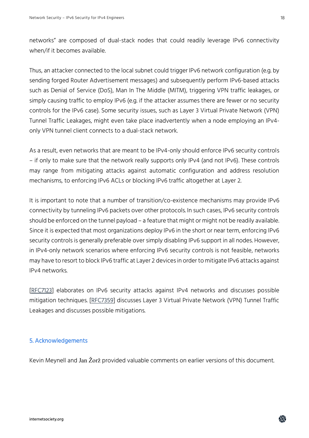18

networks" are composed of dual-stack nodes that could readily leverage IPv6 connectivity when/if it becomes available.

Thus, an attacker connected to the local subnet could trigger IPv6 network configuration (e.g. by sending forged Router Advertisement messages) and subsequently perform IPv6-based attacks such as Denial of Service (DoS), Man In The Middle (MITM), triggering VPN traffic leakages, or simply causing traffic to employ IPv6 (e.g. if the attacker assumes there are fewer or no security controls for the IPv6 case). Some security issues, such as Layer 3 Virtual Private Network (VPN) Tunnel Traffic Leakages, might even take place inadvertently when a node employing an IPv4 only VPN tunnel client connects to a dual-stack network.

As a result, even networks that are meant to be IPv4-only should enforce IPv6 security controls – if only to make sure that the network really supports only IPv4 (and not IPv6). These controls may range from mitigating attacks against automatic configuration and address resolution mechanisms, to enforcing IPv6 ACLs or blocking IPv6 traffic altogether at Layer 2.

It is important to note that a number of transition/co-existence mechanisms may provide IPv6 connectivity by tunneling IPv6 packets over other protocols. In such cases, IPv6 security controls should be enforced on the tunnel payload – a feature that might or might not be readily available. Since it is expected that most organizations deploy IPv6 in the short or near term, enforcing IPv6 security controls is generally preferable over simply disabling IPv6 support in all nodes. However, in IPv4-only network scenarios where enforcing IPv6 security controls is not feasible, networks may have to resort to block IPv6 traffic at Layer 2 devices in order to mitigate IPv6 attacks against IPv4 networks.

[\[RFC7123\]](http://www.rfc-editor.org/info/rfc7123) elaborates on IPv6 security attacks against IPv4 networks and discusses possible mitigation techniques. [\[RFC7359\]](http://www.rfc-editor.org/info/rfc7359) discusses Layer 3 Virtual Private Network (VPN) Tunnel Traffic Leakages and discusses possible mitigations.

# 5. Acknowledgements

Kevin Meynell and Jan Žorž provided valuable comments on earlier versions of this document.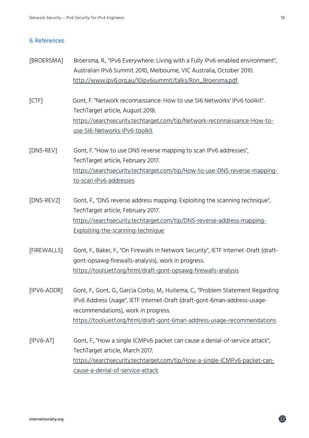## 6. References

- [BROERSMA] Broersma, R., "IPv6 Everywhere: Living with a Fully IPv6-enabled environment", Australian IPv6 Summit 2010, Melbourne, VIC Australia, October 2010. [http://www.ipv6.org.au/10ipv6summit/talks/Ron\\_Broersma.pdf](http://www.ipv6.org.au/10ipv6summit/talks/Ron_Broersma.pdf)
- [CTF] Gont, F. "Network reconnaissance: How to use SI6 Networks' IPv6 toolkit". TechTarget article, August 2018. [https://searchsecurity.techtarget.com/tip/Network-reconnaissance-How-to](https://searchsecurity.techtarget.com/tip/Network-reconnaissance-How-to-use-SI6-Networks-IPv6-toolkit)[use-SI6-Networks-IPv6-toolkit](https://searchsecurity.techtarget.com/tip/Network-reconnaissance-How-to-use-SI6-Networks-IPv6-toolkit)
- [DNS-REV] Gont, F. "How to use DNS reverse mapping to scan IPv6 addresses", TechTarget article, February 2017. [https://searchsecurity.techtarget.com/tip/How-to-use-DNS-reverse-mapping](https://searchsecurity.techtarget.com/tip/How-to-use-DNS-reverse-mapping-to-scan-IPv6-addresses)[to-scan-IPv6-addresses](https://searchsecurity.techtarget.com/tip/How-to-use-DNS-reverse-mapping-to-scan-IPv6-addresses)
- [DNS-REV2] Gont, F., "DNS reverse address mapping: Exploiting the scanning technique", TechTarget article, February 2017. [https://searchsecurity.techtarget.com/tip/DNS-reverse-address-mapping-](https://searchsecurity.techtarget.com/tip/DNS-reverse-address-mapping-Exploiting-the-scanning-technique)[Exploiting-the-scanning-technique](https://searchsecurity.techtarget.com/tip/DNS-reverse-address-mapping-Exploiting-the-scanning-technique)
- [FIREWALLS] Gont, F., Baker, F., "On Firewalls in Network Security", IETF Internet-Draft (draftgont-opsawg-firewalls-analysis), work in progress. <https://tools.ietf.org/html/draft-gont-opsawg-firewalls-analysis>
- [IPV6-ADDR] Gont, F., Gont, G., Garcia Corbo, M., Huitema, C., "Problem Statement Regarding IPv6 Address Usage", IETF Internet-Draft (draft-gont-6man-address-usagerecommendations), work in progress. <https://tools.ietf.org/html/draft-gont-6man-address-usage-recommendations>
- [IPV6-AT] Gont, F., "How a single ICMPv6 packet can cause a denial-of-service attack", TechTarget article, March 2017. [https://searchsecurity.techtarget.com/tip/How-a-single-ICMPv6-packet-can](https://searchsecurity.techtarget.com/tip/How-a-single-ICMPv6-packet-can-cause-a-denial-of-service-attack)[cause-a-denial-of-service-attack](https://searchsecurity.techtarget.com/tip/How-a-single-ICMPv6-packet-can-cause-a-denial-of-service-attack)

龠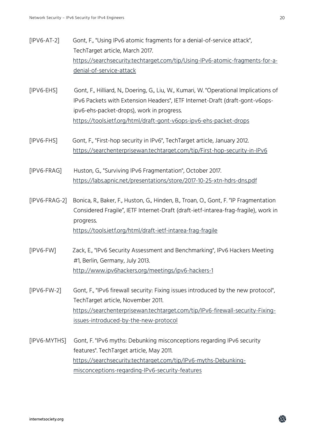- [IPV6-AT-2] Gont, F., "Using IPv6 atomic fragments for a denial-of-service attack", TechTarget article, March 2017. [https://searchsecurity.techtarget.com/tip/Using-IPv6-atomic-fragments-for-a](https://searchsecurity.techtarget.com/tip/Using-IPv6-atomic-fragments-for-a-denial-of-service-attack)[denial-of-service-attack](https://searchsecurity.techtarget.com/tip/Using-IPv6-atomic-fragments-for-a-denial-of-service-attack)
- [IPV6-EHS] Gont, F., Hilliard, N., Doering, G., Liu, W., Kumari, W. "Operational Implications of IPv6 Packets with Extension Headers", IETF Internet-Draft (draft-gont-v6opsipv6-ehs-packet-drops), work in progress. <https://tools.ietf.org/html/draft-gont-v6ops-ipv6-ehs-packet-drops>
- [IPV6-FHS] Gont, F., "First-hop security in IPv6", TechTarget article, January 2012. <https://searchenterprisewan.techtarget.com/tip/First-hop-security-in-IPv6>

[IPV6-FRAG] Huston, G., "Surviving IPv6 Fragmentation", October 2017. <https://labs.apnic.net/presentations/store/2017-10-25-xtn-hdrs-dns.pdf>

- [IPV6-FRAG-2] Bonica, R., Baker, F., Huston, G., Hinden, B., Troan, O., Gont, F. "IP Fragmentation Considered Fragile", IETF Internet-Draft (draft-ietf-intarea-frag-fragile), work in progress. <https://tools.ietf.org/html/draft-ietf-intarea-frag-fragile>
- [IPV6-FW] Zack, E., "IPv6 Security Assessment and Benchmarking", IPv6 Hackers Meeting #1, Berlin, Germany, July 2013. <http://www.ipv6hackers.org/meetings/ipv6-hackers-1>
- [IPV6-FW-2] Gont, F., "IPv6 firewall security: Fixing issues introduced by the new protocol", TechTarget article, November 2011. [https://searchenterprisewan.techtarget.com/tip/IPv6-firewall-security-Fixing](https://searchenterprisewan.techtarget.com/tip/IPv6-firewall-security-Fixing-issues-introduced-by-the-new-protocol)[issues-introduced-by-the-new-protocol](https://searchenterprisewan.techtarget.com/tip/IPv6-firewall-security-Fixing-issues-introduced-by-the-new-protocol)
- [IPV6-MYTHS] Gont, F. "IPv6 myths: Debunking misconceptions regarding IPv6 security features". TechTarget article, May 2011. [https://searchsecurity.techtarget.com/tip/IPv6-myths-Debunking](https://searchsecurity.techtarget.com/tip/IPv6-myths-Debunking-misconceptions-regarding-IPv6-security-features)[misconceptions-regarding-IPv6-security-features](https://searchsecurity.techtarget.com/tip/IPv6-myths-Debunking-misconceptions-regarding-IPv6-security-features)

蟲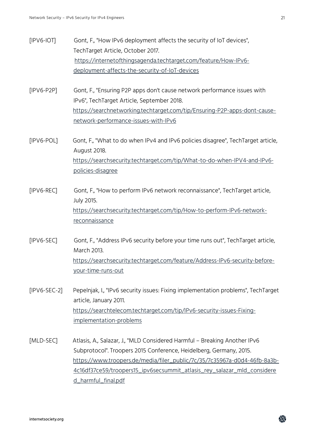- [IPV6-IOT] Gont, F., "How IPv6 deployment affects the security of IoT devices", TechTarget Article, October 2017. [https://internetofthingsagenda.techtarget.com/feature/How-IPv6](https://internetofthingsagenda.techtarget.com/feature/How-IPv6-deployment-affects-the-security-of-IoT-devices) [deployment-affects-the-security-of-IoT-devices](https://internetofthingsagenda.techtarget.com/feature/How-IPv6-deployment-affects-the-security-of-IoT-devices)
- [IPV6-P2P] Gont, F., "Ensuring P2P apps don't cause network performance issues with IPv6", TechTarget Article, September 2018. [https://searchnetworking.techtarget.com/tip/Ensuring-P2P-apps-dont-cause](https://searchnetworking.techtarget.com/tip/Ensuring-P2P-apps-dont-cause-network-performance-issues-with-IPv6)[network-performance-issues-with-IPv6](https://searchnetworking.techtarget.com/tip/Ensuring-P2P-apps-dont-cause-network-performance-issues-with-IPv6)
- [IPV6-POL] Gont, F., "What to do when IPv4 and IPv6 policies disagree", TechTarget article, August 2018. [https://searchsecurity.techtarget.com/tip/What-to-do-when-IPV4-and-IPv6](https://searchsecurity.techtarget.com/tip/What-to-do-when-IPV4-and-IPv6-policies-disagree) [policies-disagree](https://searchsecurity.techtarget.com/tip/What-to-do-when-IPV4-and-IPv6-policies-disagree)
- [IPV6-REC] Gont, F., "How to perform IPv6 network reconnaissance", TechTarget article, July 2015. [https://searchsecurity.techtarget.com/tip/How-to-perform-IPv6-network](https://searchsecurity.techtarget.com/tip/How-to-perform-IPv6-network-reconnaissance)[reconnaissance](https://searchsecurity.techtarget.com/tip/How-to-perform-IPv6-network-reconnaissance)
- [IPV6-SEC] Gont, F., "Address IPv6 security before your time runs out", TechTarget article, March 2013. [https://searchsecurity.techtarget.com/feature/Address-IPv6-security-before](https://searchsecurity.techtarget.com/feature/Address-IPv6-security-before-your-time-runs-out)[your-time-runs-out](https://searchsecurity.techtarget.com/feature/Address-IPv6-security-before-your-time-runs-out)
- [IPV6-SEC-2] Pepelnjak, I., "IPv6 security issues: Fixing implementation problems", TechTarget article, January 2011. [https://searchtelecom.techtarget.com/tip/IPv6-security-issues-Fixing](https://searchtelecom.techtarget.com/tip/IPv6-security-issues-Fixing-implementation-problems)[implementation-problems](https://searchtelecom.techtarget.com/tip/IPv6-security-issues-Fixing-implementation-problems)
- [MLD-SEC] Atlasis, A., Salazar, J., "MLD Considered Harmful Breaking Another IPv6 Subprotocol". Troopers 2015 Conference, Heidelberg, Germany, 2015. [https://www.troopers.de/media/filer\\_public/7c/35/7c35967a-d0d4-46fb-8a3b-](https://www.troopers.de/media/filer_public/7c/35/7c35967a-d0d4-46fb-8a3b-4c16df37ce59/troopers15_ipv6secsummit_atlasis_rey_salazar_mld_considered_harmful_final.pdf)[4c16df37ce59/troopers15\\_ipv6secsummit\\_atlasis\\_rey\\_salazar\\_mld\\_considere](https://www.troopers.de/media/filer_public/7c/35/7c35967a-d0d4-46fb-8a3b-4c16df37ce59/troopers15_ipv6secsummit_atlasis_rey_salazar_mld_considered_harmful_final.pdf) [d\\_harmful\\_final.pdf](https://www.troopers.de/media/filer_public/7c/35/7c35967a-d0d4-46fb-8a3b-4c16df37ce59/troopers15_ipv6secsummit_atlasis_rey_salazar_mld_considered_harmful_final.pdf)

龠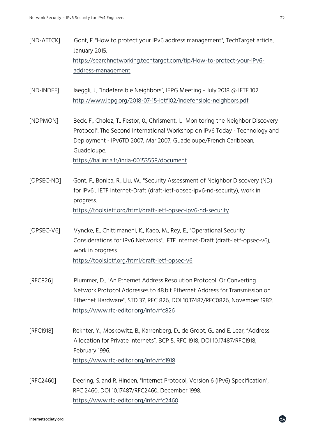- [ND-ATTCK] Gont, F. "How to protect your IPv6 address management", TechTarget article, January 2015. [https://searchnetworking.techtarget.com/tip/How-to-protect-your-IPv6](https://searchnetworking.techtarget.com/tip/How-to-protect-your-IPv6-address-management) [address-management](https://searchnetworking.techtarget.com/tip/How-to-protect-your-IPv6-address-management)
- [ND-INDEF] Jaeggli, J., "Indefensible Neighbors", IEPG Meeting July 2018 @ IETF 102. <http://www.iepg.org/2018-07-15-ietf102/indefensible-neighbors.pdf>
- [NDPMON] Beck, F., Cholez, T., Festor, 0., Chrisment, I., "Monitoring the Neighbor Discovery Protocol". The Second International Workshop on IPv6 Today - Technology and Deployment - IPv6TD 2007, Mar 2007, Guadeloupe/French Caribbean, Guadeloupe. <https://hal.inria.fr/inria-00153558/document>
- [OPSEC-ND] Gont, F., Bonica, R., Liu, W., "Security Assessment of Neighbor Discovery (ND) for IPv6", IETF Internet-Draft (draft-ietf-opsec-ipv6-nd-security), work in progress. <https://tools.ietf.org/html/draft-ietf-opsec-ipv6-nd-security>
- [OPSEC-V6] Vyncke, E., Chittimaneni, K., Kaeo, M., Rey, E., "Operational Security Considerations for IPv6 Networks", IETF Internet-Draft (draft-ietf-opsec-v6), work in progress. <https://tools.ietf.org/html/draft-ietf-opsec-v6>
- [RFC826] Plummer, D., "An Ethernet Address Resolution Protocol: Or Converting Network Protocol Addresses to 48.bit Ethernet Address for Transmission on Ethernet Hardware", STD 37, RFC 826, DOI 10.17487/RFC0826, November 1982. <https://www.rfc-editor.org/info/rfc826>
- [RFC1918] Rekhter, Y., Moskowitz, B., Karrenberg, D., de Groot, G., and E. Lear, "Address Allocation for Private Internets", BCP 5, RFC 1918, DOI 10.17487/RFC1918, February 1996. <https://www.rfc-editor.org/info/rfc1918>
- [RFC2460] Deering, S. and R. Hinden, "Internet Protocol, Version 6 (IPv6) Specification", RFC 2460, DOI 10.17487/RFC2460, December 1998. <https://www.rfc-editor.org/info/rfc2460>

益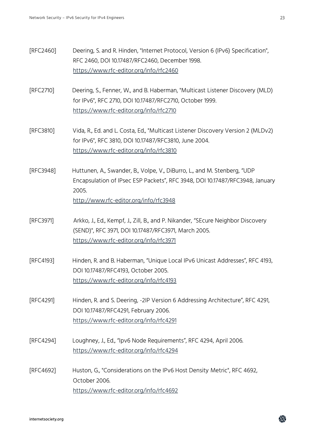- [RFC2460] Deering, S. and R. Hinden, "Internet Protocol, Version 6 (IPv6) Specification", RFC 2460, DOI 10.17487/RFC2460, December 1998. <https://www.rfc-editor.org/info/rfc2460>
- [RFC2710] Deering, S., Fenner, W., and B. Haberman, "Multicast Listener Discovery (MLD) for IPv6", RFC 2710, DOI 10.17487/RFC2710, October 1999. <https://www.rfc-editor.org/info/rfc2710>
- [RFC3810] Vida, R., Ed. and L. Costa, Ed., "Multicast Listener Discovery Version 2 (MLDv2) for IPv6", RFC 3810, DOI 10.17487/RFC3810, June 2004. <https://www.rfc-editor.org/info/rfc3810>
- [RFC3948] Huttunen, A., Swander, B., Volpe, V., DiBurro, L., and M. Stenberg, "UDP Encapsulation of IPsec ESP Packets", RFC 3948, DOI 10.17487/RFC3948, January 2005.

<http://www.rfc-editor.org/info/rfc3948>

- [RFC3971] Arkko, J., Ed., Kempf, J., Zill, B., and P. Nikander, "SEcure Neighbor Discovery (SEND)", RFC 3971, DOI 10.17487/RFC3971, March 2005. <https://www.rfc-editor.org/info/rfc3971>
- [RFC4193] Hinden, R. and B. Haberman, "Unique Local IPv6 Unicast Addresses", RFC 4193, DOI 10.17487/RFC4193, October 2005. <https://www.rfc-editor.org/info/rfc4193>
- [RFC4291] Hinden, R. and S. Deering, -2IP Version 6 Addressing Architecture", RFC 4291, DOI 10.17487/RFC4291, February 2006. <https://www.rfc-editor.org/info/rfc4291>
- [RFC4294] Loughney, J., Ed., "Ipv6 Node Requirements", RFC 4294, April 2006. <https://www.rfc-editor.org/info/rfc4294>
- [RFC4692] Huston, G., "Considerations on the IPv6 Host Density Metric", RFC 4692, October 2006. <https://www.rfc-editor.org/info/rfc4692>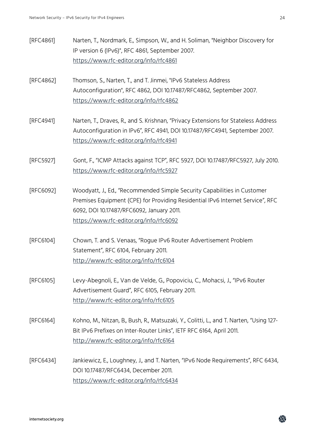| [RFC4861] | Narten, T., Nordmark, E., Simpson, W., and H. Soliman, "Neighbor Discovery for<br>IP version 6 (IPv6)", RFC 4861, September 2007.<br>https://www.rfc-editor.org/info/rfc4861                                                                       |
|-----------|----------------------------------------------------------------------------------------------------------------------------------------------------------------------------------------------------------------------------------------------------|
| [RFC4862] | Thomson, S., Narten, T., and T. Jinmei, "IPv6 Stateless Address<br>Autoconfiguration", RFC 4862, DOI 10.17487/RFC4862, September 2007.<br>https://www.rfc-editor.org/info/rfc4862                                                                  |
| [RFC4941] | Narten, T., Draves, R., and S. Krishnan, "Privacy Extensions for Stateless Address<br>Autoconfiguration in IPv6", RFC 4941, DOI 10.17487/RFC4941, September 2007.<br>https://www.rfc-editor.org/info/rfc4941                                       |
| [RFC5927] | Gont, F., "ICMP Attacks against TCP", RFC 5927, DOI 10.17487/RFC5927, July 2010.<br>https://www.rfc-editor.org/info/rfc5927                                                                                                                        |
| [RFC6092] | Woodyatt, J., Ed., "Recommended Simple Security Capabilities in Customer<br>Premises Equipment (CPE) for Providing Residential IPv6 Internet Service", RFC<br>6092, DOI 10.17487/RFC6092, January 2011.<br>https://www.rfc-editor.org/info/rfc6092 |
| [RFC6104] | Chown, T. and S. Venaas, "Rogue IPv6 Router Advertisement Problem<br>Statement", RFC 6104, February 2011.<br>http://www.rfc-editor.org/info/rfc6104                                                                                                |
| [RFC6105] | Levy-Abegnoli, E., Van de Velde, G., Popoviciu, C., Mohacsi, J., "IPv6 Router<br>Advertisement Guard", RFC 6105, February 2011.<br>http://www.rfc-editor.org/info/rfc6105                                                                          |
| [RFC6164] | Kohno, M., Nitzan, B., Bush, R., Matsuzaki, Y., Colitti, L., and T. Narten, "Using 127-<br>Bit IPv6 Prefixes on Inter-Router Links", IETF RFC 6164, April 2011.<br>http://www.rfc-editor.org/info/rfc6164                                          |
| [RFC6434] | Jankiewicz, E., Loughney, J., and T. Narten, "IPv6 Node Requirements", RFC 6434,<br>DOI 10.17487/RFC6434, December 2011.<br>https://www.rfc-editor.org/info/rfc6434                                                                                |

鸯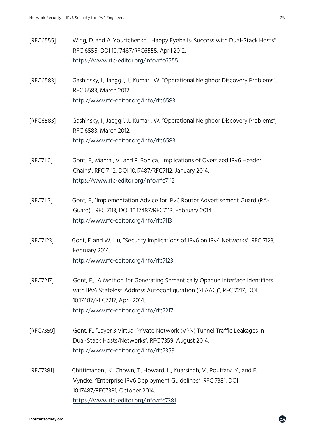鸯

| [RFC6555] | Wing, D. and A. Yourtchenko, "Happy Eyeballs: Success with Dual-Stack Hosts",<br>RFC 6555, DOI 10.17487/RFC6555, April 2012.                                                           |
|-----------|----------------------------------------------------------------------------------------------------------------------------------------------------------------------------------------|
|           | https://www.rfc-editor.org/info/rfc6555                                                                                                                                                |
| [RFC6583] | Gashinsky, I., Jaeggli, J., Kumari, W. "Operational Neighbor Discovery Problems",<br>RFC 6583, March 2012.                                                                             |
|           | http://www.rfc-editor.org/info/rfc6583                                                                                                                                                 |
| [RFC6583] | Gashinsky, I., Jaeggli, J., Kumari, W. "Operational Neighbor Discovery Problems",<br>RFC 6583, March 2012.                                                                             |
|           | http://www.rfc-editor.org/info/rfc6583                                                                                                                                                 |
| [RFC7112] | Gont, F., Manral, V., and R. Bonica, "Implications of Oversized IPv6 Header<br>Chains", RFC 7112, DOI 10.17487/RFC7112, January 2014.                                                  |
|           | https://www.rfc-editor.org/info/rfc7112                                                                                                                                                |
| [RFC7113] | Gont, F., "Implementation Advice for IPv6 Router Advertisement Guard (RA-<br>Guard)", RFC 7113, DOI 10.17487/RFC7113, February 2014.                                                   |
|           | http://www.rfc-editor.org/info/rfc7113                                                                                                                                                 |
| [RFC7123] | Gont, F. and W. Liu, "Security Implications of IPv6 on IPv4 Networks", RFC 7123,<br>February 2014.                                                                                     |
|           | http://www.rfc-editor.org/info/rfc7123                                                                                                                                                 |
| [RFC7217] | Gont, F., "A Method for Generating Semantically Opaque Interface Identifiers<br>with IPv6 Stateless Address Autoconfiguration (SLAAC)", RFC 7217, DOI<br>10.17487/RFC7217, April 2014. |
|           | http://www.rfc-editor.org/info/rfc7217                                                                                                                                                 |
| [RFC7359] | Gont, F., "Layer 3 Virtual Private Network (VPN) Tunnel Traffic Leakages in<br>Dual-Stack Hosts/Networks", RFC 7359, August 2014.                                                      |
|           | http://www.rfc-editor.org/info/rfc7359                                                                                                                                                 |
| [RFC7381] | Chittimaneni, K., Chown, T., Howard, L., Kuarsingh, V., Pouffary, Y., and E.<br>Vyncke, "Enterprise IPv6 Deployment Guidelines", RFC 7381, DOI<br>10.17487/RFC7381, October 2014.      |
|           | https://www.rfc-editor.org/info/rfc7381                                                                                                                                                |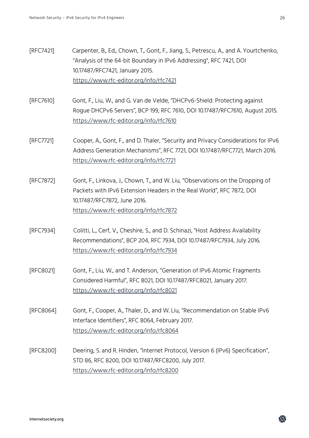- [RFC7421] Carpenter, B., Ed., Chown, T., Gont, F., Jiang, S., Petrescu, A., and A. Yourtchenko, "Analysis of the 64-bit Boundary in IPv6 Addressing", RFC 7421, DOI 10.17487/RFC7421, January 2015. <https://www.rfc-editor.org/info/rfc7421>
- [RFC7610] Gont, F., Liu, W., and G. Van de Velde, "DHCPv6-Shield: Protecting against Rogue DHCPv6 Servers", BCP 199, RFC 7610, DOI 10.17487/RFC7610, August 2015. <https://www.rfc-editor.org/info/rfc7610>
- [RFC7721] Cooper, A., Gont, F., and D. Thaler, "Security and Privacy Considerations for IPv6 Address Generation Mechanisms", RFC 7721, DOI 10.17487/RFC7721, March 2016. <https://www.rfc-editor.org/info/rfc7721>
- [RFC7872] Gont, F., Linkova, J., Chown, T., and W. Liu, "Observations on the Dropping of Packets with IPv6 Extension Headers in the Real World", RFC 7872, DOI 10.17487/RFC7872, June 2016. <https://www.rfc-editor.org/info/rfc7872>
- [RFC7934] Colitti, L., Cerf, V., Cheshire, S., and D. Schinazi, "Host Address Availability Recommendations", BCP 204, RFC 7934, DOI 10.17487/RFC7934, July 2016. <https://www.rfc-editor.org/info/rfc7934>
- [RFC8021] Gont, F., Liu, W., and T. Anderson, "Generation of IPv6 Atomic Fragments Considered Harmful", RFC 8021, DOI 10.17487/RFC8021, January 2017. <https://www.rfc-editor.org/info/rfc8021>
- [RFC8064] Gont, F., Cooper, A., Thaler, D., and W. Liu, "Recommendation on Stable IPv6 Interface Identifiers", RFC 8064, February 2017. <https://www.rfc-editor.org/info/rfc8064>
- [RFC8200] Deering, S. and R. Hinden, "Internet Protocol, Version 6 (IPv6) Specification", STD 86, RFC 8200, DOI 10.17487/RFC8200, July 2017. <https://www.rfc-editor.org/info/rfc8200>